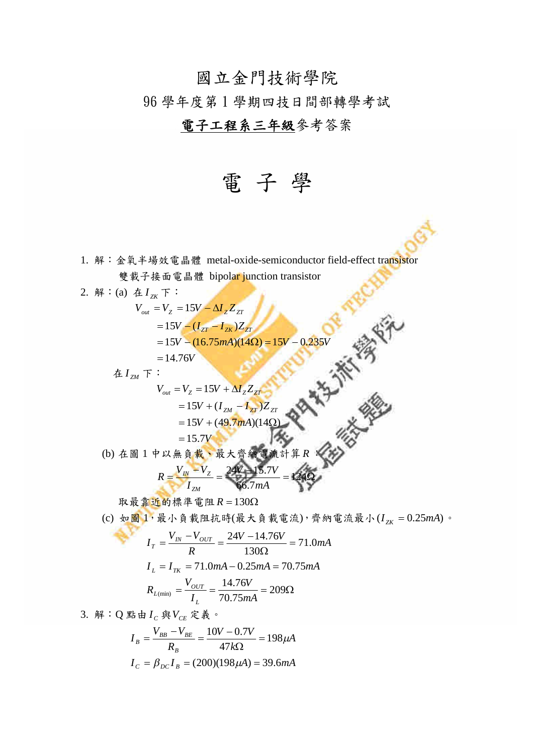## 國立金門技術學院

96 學年度第 1 學期四技日間部轉學考試

## 電子工程系三年級參考答案

電 子 學

1. 解:金氧半場效電晶體 metal-oxide-semiconductor field-effect transistor 雙載子接面電晶體 bipolar junction transistor

2. 解: (a) 在  $I_{7K}$  下:  $V_{out} = V_{Z} = 15V - \Delta I_{Z} Z_{ZT}$  $= 14.76V$  $V = 15V - (16.75mA)(14\Omega) = 15V - 0.235V$  $=15V - (I_{ZT} - I_{ZK})Z_{ZT}$  $\overline{A} I_{\scriptscriptstyle ZM}$  下:  $V_{out} = V_{Z} = 15V + \Delta I_{Z} Z_{ZT}$  $=15.7V$  $V + (49.7 \text{mA})$  $V + (I_{ZM} - I_{ZT})Z_{ZT}$  $15V + (49.7 mA)(14 \Omega)$  $15V + (I_{ZM} - I_{ZT})$  $= 15V + (49.7mA)(14\Omega)$  $=15V + (I_{ZM} - I)$ (b) 在圖 1 中以無負載、最大齊納電  $= 124\Omega$  $\frac{V_{I N} - V_{Z}}{V} = \frac{24V - 15.7V}{4} = 124$ 66.7 24V - 15.7V *mA I*  $V_{I N} - V$  $R = \frac{V_{IN} - V_{Z}}{I}$ *ZM*

取最靠近的標準電阻  $R = 130\Omega$ 

(c) 如圖  $1, \frac{1}{2}$ 小負載阻抗時(最大負載電流),齊納電流最小 $(I_{\gamma K} = 0.25$ mA)。

$$
I_T = \frac{V_{IN} - V_{OUT}}{R} = \frac{24V - 14.76V}{130\Omega} = 71.0mA
$$
  

$$
I_L = I_{TK} = 71.0mA - 0.25mA = 70.75mA
$$
  

$$
R_{L(min)} = \frac{V_{OUT}}{I_L} = \frac{14.76V}{70.75mA} = 209\Omega
$$

3. 解:Q 點由 $I_c$ 與 $V_{CE}$ 定義。

$$
I_B = \frac{V_{BB} - V_{BE}}{R_B} = \frac{10V - 0.7V}{47k\Omega} = 198 \mu A
$$

$$
I_C = \beta_{DC} I_B = (200)(198 \mu A) = 39.6 mA
$$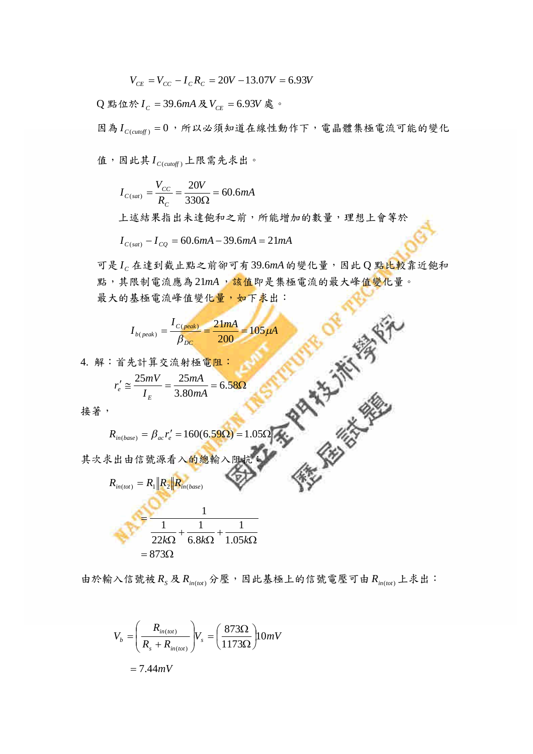$$
V_{CE} = V_{CC} - I_c R_c = 20V - 13.07V = 6.93V
$$

 $Q$  點位於  $I_C$  = 39.6mA 及  $V_{CE}$  = 6.93 $V$  處。

因為  $I_{C(cutoff)} = 0$ , 所以必須知道在線性動作下, 電晶體集極電流可能的變化

值,因此其 $I_{C(cutoff)}$ 上限需先求出。

 $\frac{W}{200}$  = 60.6*mA R V I C*  $C(sat) = \frac{V_{CC}}{R_C} = \frac{2\Delta V}{330\Omega} = 60.6$  $V_{(sat)} = \frac{V_{CC}}{R_C} = \frac{20V}{330\Omega} = 6$  $=\frac{r_{CC}}{r_{C}}=-$ 

上述結果指出未達飽和之前,所能增加的數量,理想上會等於

 $I_{C(sat)} - I_{CQ} = 60.6mA - 39.6mA = 21mA$ 

可是 *<sup>C</sup> I* 在達到截止點之前卻可有39.6*mA*的變化量,因此 Q 點比較靠近飽和 點,其限制電流應為21mA,<mark>該值即是集極電流的最大峰值變化量。</mark> 最大的基極電流峰值變化量,如下求出:

**STER OF BRIDGE** 

$$
I_{b (peak)} = \frac{I_{C (peak)}}{\beta_{DC}} = \frac{21mA}{200} = 105 \mu A
$$

4. 解:首先計算交流射極電阻:

$$
r'_{e} \cong \frac{25mV}{I_{E}} = \frac{25mA}{3.80mA} = 6.58\Omega
$$

接著,

$$
R_{in(base)} = \beta_{ac} r'_e = 160(6.59 \Omega) = 1.05 \Omega
$$

其次求出由信號源看入的總輸



由於輸入信號被 $R_S \& R_{in(tot)} \& \rightarrow \mathbb{E}$ , 因此基極上的信號電壓可由 $R_{in(tot)} \perp \& H$ :

$$
V_b = \left(\frac{R_{in(tot)}}{R_s + R_{in(tot)}}\right) V_s = \left(\frac{873\Omega}{1173\Omega}\right) 10mV
$$

$$
= 7.44mV
$$